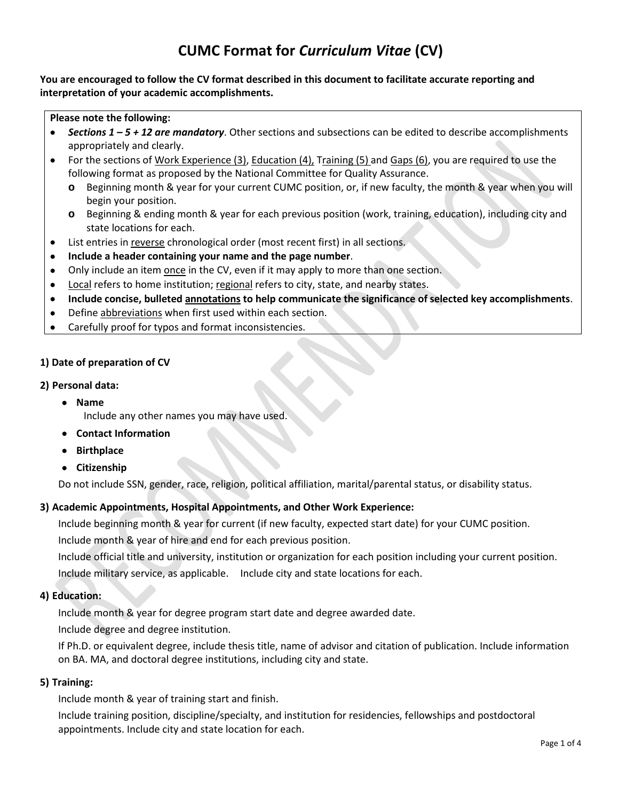# **CUMC Format for** *Curriculum Vitae* **(CV)**

## **You are encouraged to follow the CV format described in this document to facilitate accurate reporting and interpretation of your academic accomplishments.**

#### **Please note the following:**

- *Sections 1 – 5 + 12 are mandatory*. Other sections and subsections can be edited to describe accomplishments appropriately and clearly.
- For the sections of Work Experience (3), Education (4), Training (5) and Gaps (6), you are required to use the following format as proposed by the National Committee for Quality Assurance.
	- **o** Beginning month & year for your current CUMC position, or, if new faculty, the month & year when you will begin your position.
	- **o** Beginning & ending month & year for each previous position (work, training, education), including city and state locations for each.
- List entries in reverse chronological order (most recent first) in all sections.
- **Include a header containing your name and the page number**.
- Only include an item once in the CV, even if it may apply to more than one section.
- Local refers to home institution; regional refers to city, state, and nearby states.
- **Include concise, bulleted annotations to help communicate the significance of selected key accomplishments**.
- Define abbreviations when first used within each section.
- Carefully proof for typos and format inconsistencies.

## **1) Date of preparation of CV**

## **2) Personal data:**

- **Name**
	- Include any other names you may have used.
- **Contact Information**
- **Birthplace**
- **Citizenship**

Do not include SSN, gender, race, religion, political affiliation, marital/parental status, or disability status.

## **3) Academic Appointments, Hospital Appointments, and Other Work Experience:**

Include beginning month & year for current (if new faculty, expected start date) for your CUMC position.

Include month & year of hire and end for each previous position.

Include official title and university, institution or organization for each position including your current position. Include military service, as applicable. Include city and state locations for each.

## **4) Education:**

Include month & year for degree program start date and degree awarded date.

Include degree and degree institution.

If Ph.D. or equivalent degree, include thesis title, name of advisor and citation of publication. Include information on BA. MA, and doctoral degree institutions, including city and state.

## **5) Training:**

Include month & year of training start and finish.

Include training position, discipline/specialty, and institution for residencies, fellowships and postdoctoral appointments. Include city and state location for each.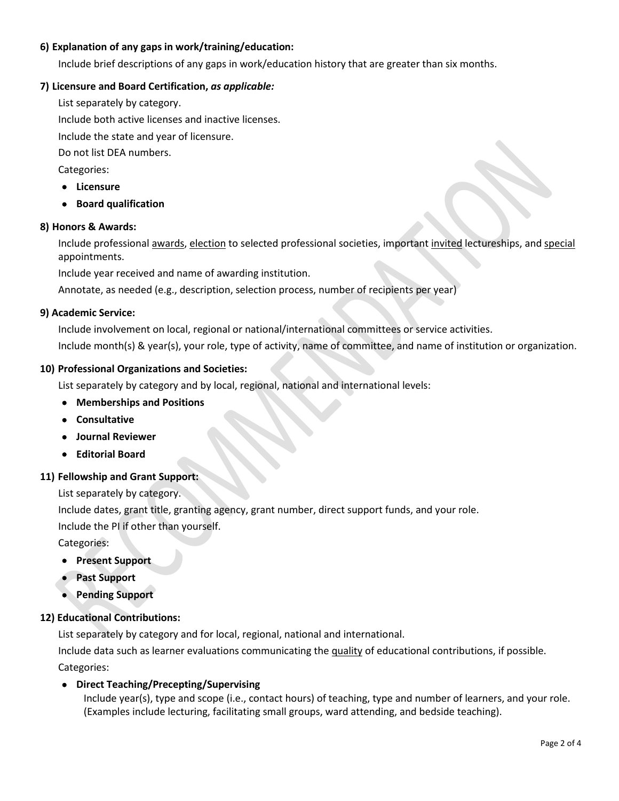# **6) Explanation of any gaps in work/training/education:**

Include brief descriptions of any gaps in work/education history that are greater than six months.

## **7) Licensure and Board Certification,** *as applicable:*

List separately by category.

Include both active licenses and inactive licenses.

Include the state and year of licensure.

Do not list DEA numbers.

Categories:

- **Licensure**
- **Board qualification**

## **8) Honors & Awards:**

Include professional awards, election to selected professional societies, important invited lectureships, and special appointments.

Include year received and name of awarding institution.

Annotate, as needed (e.g., description, selection process, number of recipients per year)

## **9) Academic Service:**

Include involvement on local, regional or national/international committees or service activities.

Include month(s) & year(s), your role, type of activity, name of committee, and name of institution or organization.

## **10) Professional Organizations and Societies:**

List separately by category and by local, regional, national and international levels:

- **Memberships and Positions**
- **Consultative**
- **Journal Reviewer**
- **Editorial Board**

## **11) Fellowship and Grant Support:**

List separately by category.

Include dates, grant title, granting agency, grant number, direct support funds, and your role.

Include the PI if other than yourself.

Categories:

- **Present Support**
- **Past Support**
- **Pending Support**

## **12) Educational Contributions:**

List separately by category and for local, regional, national and international.

Include data such as learner evaluations communicating the quality of educational contributions, if possible. Categories:

# • **Direct Teaching/Precepting/Supervising**

Include year(s), type and scope (i.e., contact hours) of teaching, type and number of learners, and your role. (Examples include lecturing, facilitating small groups, ward attending, and bedside teaching).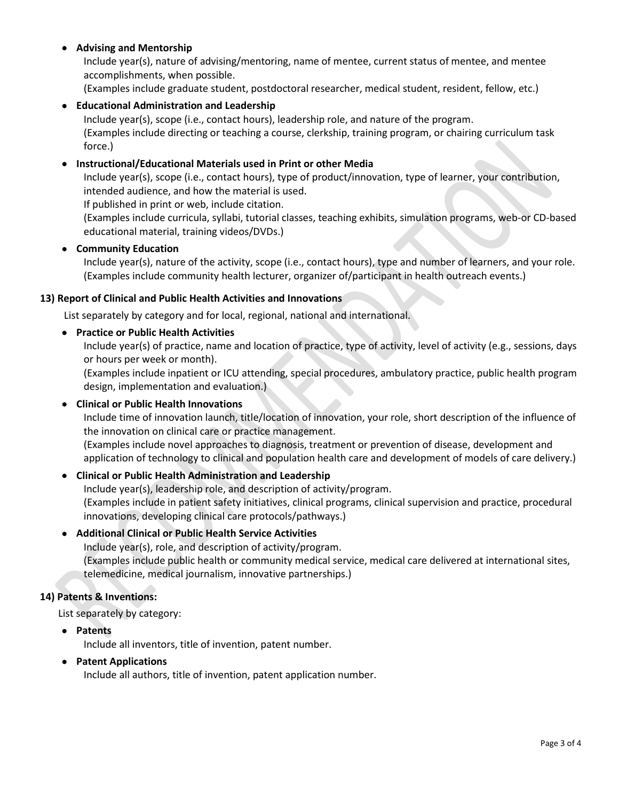# • **Advising and Mentorship**

Include year(s), nature of advising/mentoring, name of mentee, current status of mentee, and mentee accomplishments, when possible.

(Examples include graduate student, postdoctoral researcher, medical student, resident, fellow, etc.)

# • **Educational Administration and Leadership**

Include year(s), scope (i.e., contact hours), leadership role, and nature of the program. (Examples include directing or teaching a course, clerkship, training program, or chairing curriculum task force.)

## • **Instructional/Educational Materials used in Print or other Media**

Include year(s), scope (i.e., contact hours), type of product/innovation, type of learner, your contribution, intended audience, and how the material is used.

If published in print or web, include citation.

(Examples include curricula, syllabi, tutorial classes, teaching exhibits, simulation programs, web-or CD-based educational material, training videos/DVDs.)

#### • **Community Education**

Include year(s), nature of the activity, scope (i.e., contact hours), type and number of learners, and your role. (Examples include community health lecturer, organizer of/participant in health outreach events.)

#### **13) Report of Clinical and Public Health Activities and Innovations**

List separately by category and for local, regional, national and international.

#### • **Practice or Public Health Activities**

Include year(s) of practice, name and location of practice, type of activity, level of activity (e.g., sessions, days or hours per week or month).

(Examples include inpatient or ICU attending, special procedures, ambulatory practice, public health program design, implementation and evaluation.)

#### • **Clinical or Public Health Innovations**

Include time of innovation launch, title/location of innovation, your role, short description of the influence of the innovation on clinical care or practice management.

(Examples include novel approaches to diagnosis, treatment or prevention of disease, development and application of technology to clinical and population health care and development of models of care delivery.)

## • **Clinical or Public Health Administration and Leadership**

Include year(s), leadership role, and description of activity/program. (Examples include in patient safety initiatives, clinical programs, clinical supervision and practice, procedural innovations, developing clinical care protocols/pathways.)

## • **Additional Clinical or Public Health Service Activities**

Include year(s), role, and description of activity/program. (Examples include public health or community medical service, medical care delivered at international sites, telemedicine, medical journalism, innovative partnerships.)

## **14) Patents & Inventions:**

List separately by category:

• **Patents**

Include all inventors, title of invention, patent number.

## • **Patent Applications**

Include all authors, title of invention, patent application number.